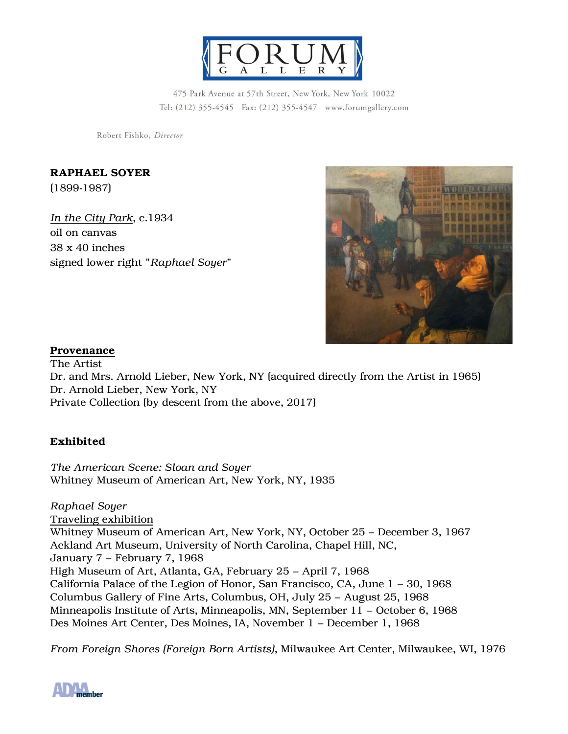

475 Park Avenue at 57th Street, New York, New York 10022 Tel: (212) 355-4545 Fax: (212) 355-4547 www.forumgallery.com

Robert Fishko, Director

RAPHAEL SOYER (1899-1987)

*In the City Park*, c.1934 oil on canvas 38 x 40 inches signed lower right "*Raphael Soyer*"



## Provenance

The Artist Dr. and Mrs. Arnold Lieber, New York, NY (acquired directly from the Artist in 1965) Dr. Arnold Lieber, New York, NY Private Collection (by descent from the above, 2017)

## Exhibited

*The American Scene: Sloan and Soyer* Whitney Museum of American Art, New York, NY, 1935

*Raphael Soyer* Traveling exhibition Whitney Museum of American Art, New York, NY, October 25 – December 3, 1967 Ackland Art Museum, University of North Carolina, Chapel Hill, NC, January 7 – February 7, 1968 High Museum of Art, Atlanta, GA, February 25 – April 7, 1968 California Palace of the Legion of Honor, San Francisco, CA, June 1 – 30, 1968 Columbus Gallery of Fine Arts, Columbus, OH, July 25 – August 25, 1968 Minneapolis Institute of Arts, Minneapolis, MN, September 11 – October 6, 1968 Des Moines Art Center, Des Moines, IA, November 1 – December 1, 1968

*From Foreign Shores (Foreign Born Artists)*, Milwaukee Art Center, Milwaukee, WI, 1976

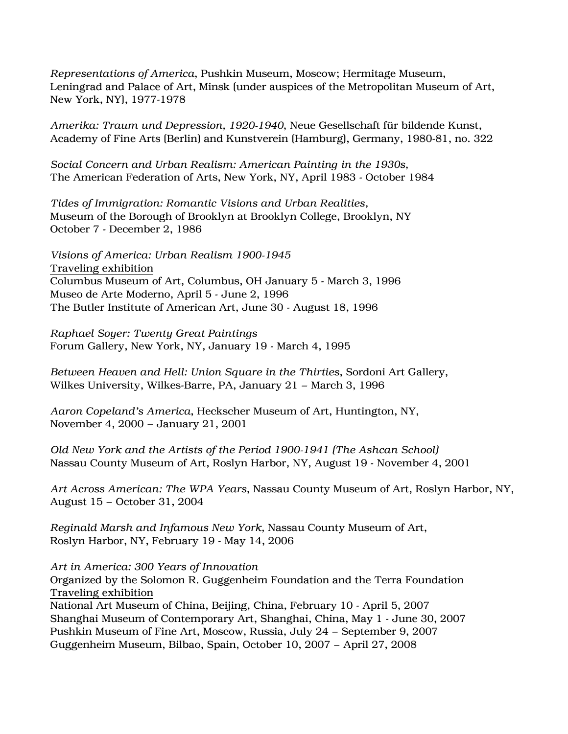*Representations of America*, Pushkin Museum, Moscow; Hermitage Museum, Leningrad and Palace of Art, Minsk (under auspices of the Metropolitan Museum of Art, New York, NY), 1977-1978

*Amerika: Traum und Depression, 1920-1940*, Neue Gesellschaft für bildende Kunst, Academy of Fine Arts (Berlin) and Kunstverein (Hamburg), Germany, 1980-81, no. 322

*Social Concern and Urban Realism: American Painting in the 1930s,* The American Federation of Arts, New York, NY, April 1983 - October 1984

*Tides of Immigration: Romantic Visions and Urban Realities,* Museum of the Borough of Brooklyn at Brooklyn College, Brooklyn, NY October 7 - December 2, 1986

*Visions of America: Urban Realism 1900-1945* Traveling exhibition Columbus Museum of Art, Columbus, OH January 5 - March 3, 1996 Museo de Arte Moderno, April 5 - June 2, 1996 The Butler Institute of American Art, June 30 - August 18, 1996

*Raphael Soyer: Twenty Great Paintings* Forum Gallery, New York, NY, January 19 - March 4, 1995

*Between Heaven and Hell: Union Square in the Thirties*, Sordoni Art Gallery, Wilkes University, Wilkes-Barre, PA, January 21 – March 3, 1996

*Aaron Copeland's America*, Heckscher Museum of Art, Huntington, NY, November 4, 2000 – January 21, 2001

*Old New York and the Artists of the Period 1900-1941 (The Ashcan School)* Nassau County Museum of Art, Roslyn Harbor, NY, August 19 - November 4, 2001

*Art Across American: The WPA Years*, Nassau County Museum of Art, Roslyn Harbor, NY, August 15 – October 31, 2004

*Reginald Marsh and Infamous New York,* Nassau County Museum of Art, Roslyn Harbor, NY, February 19 - May 14, 2006

*Art in America: 300 Years of Innovation*

Organized by the Solomon R. Guggenheim Foundation and the Terra Foundation Traveling exhibition

National Art Museum of China, Beijing, China, February 10 - April 5, 2007 Shanghai Museum of Contemporary Art, Shanghai, China, May 1 - June 30, 2007 Pushkin Museum of Fine Art, Moscow, Russia, July 24 – September 9, 2007 Guggenheim Museum, Bilbao, Spain, October 10, 2007 – April 27, 2008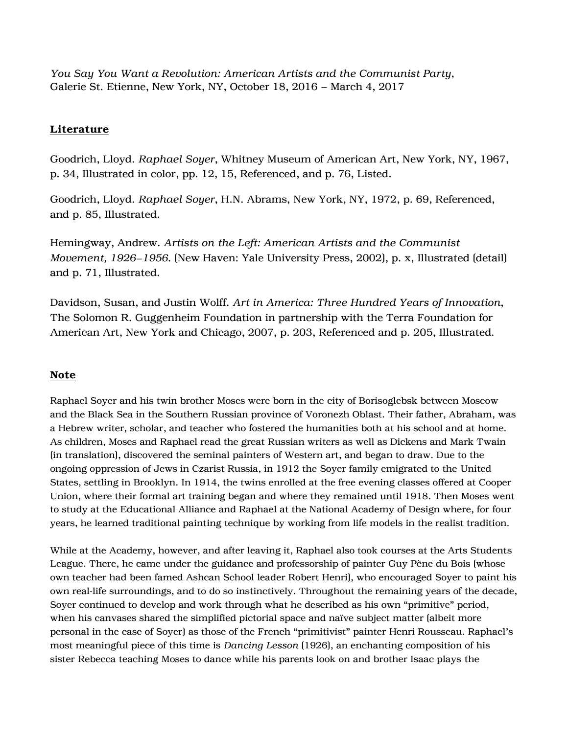*You Say You Want a Revolution: American Artists and the Communist Party*, Galerie St. Etienne, New York, NY, October 18, 2016 – March 4, 2017

## Literature

Goodrich, Lloyd. *Raphael Soyer*, Whitney Museum of American Art, New York, NY, 1967, p. 34, Illustrated in color, pp. 12, 15, Referenced, and p. 76, Listed.

Goodrich, Lloyd. *Raphael Soyer*, H.N. Abrams, New York, NY, 1972, p. 69, Referenced, and p. 85, Illustrated.

Hemingway, Andrew. *Artists on the Left: American Artists and the Communist Movement, 1926–1956*. (New Haven: Yale University Press, 2002), p. x, Illustrated (detail) and p. 71, Illustrated.

Davidson, Susan, and Justin Wolff. *Art in America: Three Hundred Years of Innovation*, The Solomon R. Guggenheim Foundation in partnership with the Terra Foundation for American Art, New York and Chicago, 2007, p. 203, Referenced and p. 205, Illustrated.

## Note

Raphael Soyer and his twin brother Moses were born in the city of Borisoglebsk between Moscow and the Black Sea in the Southern Russian province of Voronezh Oblast. Their father, Abraham, was a Hebrew writer, scholar, and teacher who fostered the humanities both at his school and at home. As children, Moses and Raphael read the great Russian writers as well as Dickens and Mark Twain (in translation), discovered the seminal painters of Western art, and began to draw. Due to the ongoing oppression of Jews in Czarist Russia, in 1912 the Soyer family emigrated to the United States, settling in Brooklyn. In 1914, the twins enrolled at the free evening classes offered at Cooper Union, where their formal art training began and where they remained until 1918. Then Moses went to study at the Educational Alliance and Raphael at the National Academy of Design where, for four years, he learned traditional painting technique by working from life models in the realist tradition.

While at the Academy, however, and after leaving it, Raphael also took courses at the Arts Students League. There, he came under the guidance and professorship of painter Guy Pène du Bois (whose own teacher had been famed Ashcan School leader Robert Henri), who encouraged Soyer to paint his own real-life surroundings, and to do so instinctively. Throughout the remaining years of the decade, Soyer continued to develop and work through what he described as his own "primitive" period, when his canvases shared the simplified pictorial space and naïve subject matter (albeit more personal in the case of Soyer) as those of the French "primitivist" painter Henri Rousseau. Raphael's most meaningful piece of this time is *Dancing Lesson* (1926), an enchanting composition of his sister Rebecca teaching Moses to dance while his parents look on and brother Isaac plays the